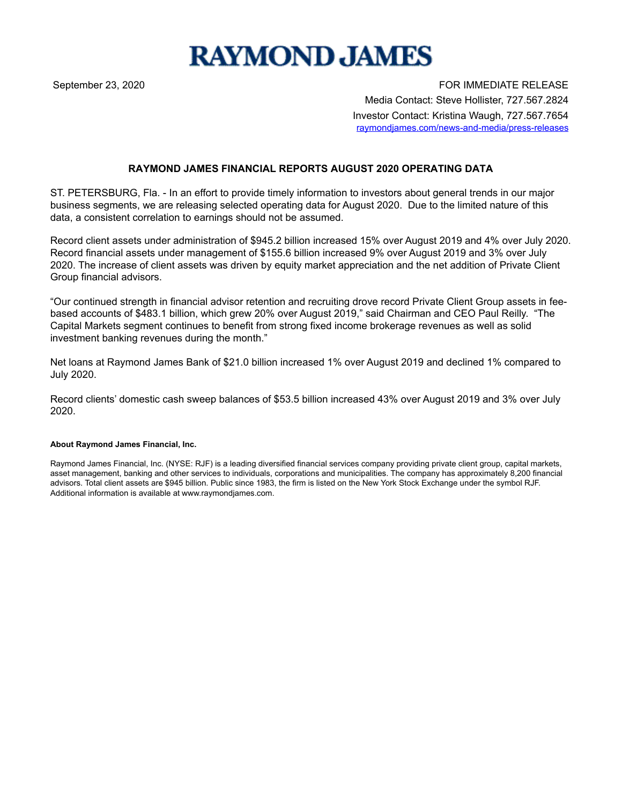

September 23, 2020 **FOR IMMEDIATE RELEASE** Media Contact: Steve Hollister, 727.567.2824 Investor Contact: Kristina Waugh, 727.567.7654 raymondjames.com/news-and-media/press-releases

## **RAYMOND JAMES FINANCIAL REPORTS AUGUST 2020 OPERATING DATA**

ST. PETERSBURG, Fla. - In an effort to provide timely information to investors about general trends in our major business segments, we are releasing selected operating data for August 2020. Due to the limited nature of this data, a consistent correlation to earnings should not be assumed.

Record client assets under administration of \$945.2 billion increased 15% over August 2019 and 4% over July 2020. Record financial assets under management of \$155.6 billion increased 9% over August 2019 and 3% over July 2020. The increase of client assets was driven by equity market appreciation and the net addition of Private Client Group financial advisors.

"Our continued strength in financial advisor retention and recruiting drove record Private Client Group assets in feebased accounts of \$483.1 billion, which grew 20% over August 2019," said Chairman and CEO Paul Reilly. "The Capital Markets segment continues to benefit from strong fixed income brokerage revenues as well as solid investment banking revenues during the month."

Net loans at Raymond James Bank of \$21.0 billion increased 1% over August 2019 and declined 1% compared to July 2020.

Record clients' domestic cash sweep balances of \$53.5 billion increased 43% over August 2019 and 3% over July 2020.

## **About Raymond James Financial, Inc.**

Raymond James Financial, Inc. (NYSE: RJF) is a leading diversified financial services company providing private client group, capital markets, asset management, banking and other services to individuals, corporations and municipalities. The company has approximately 8,200 financial advisors. Total client assets are \$945 billion. Public since 1983, the firm is listed on the New York Stock Exchange under the symbol RJF. Additional information is available at www.raymondjames.com.